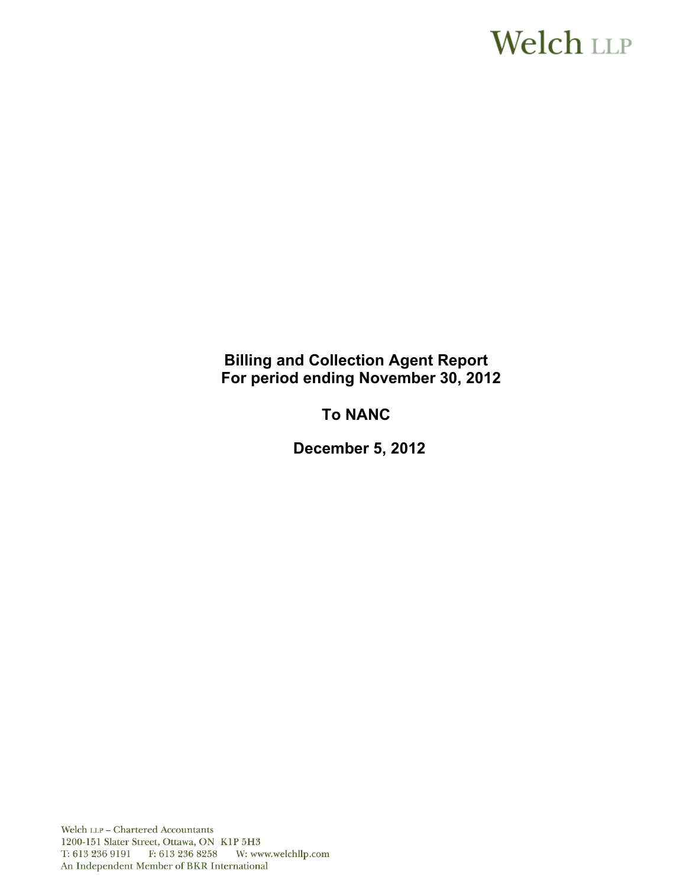# **Welch LLP**

# **Billing and Collection Agent Report For period ending November 30, 2012**

# **To NANC**

 **December 5, 2012**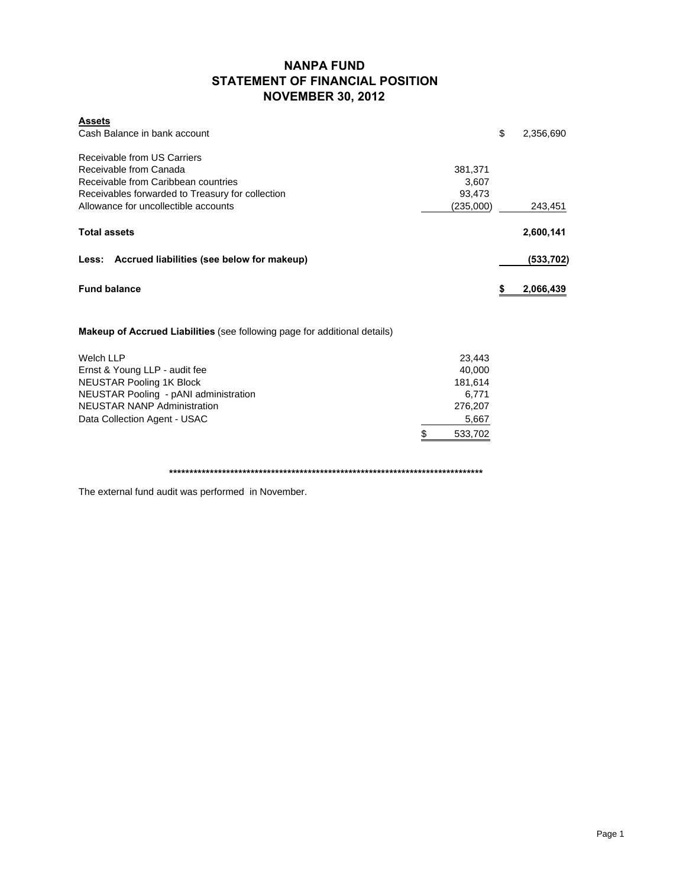### **NANPA FUND STATEMENT OF FINANCIAL POSITION NOVEMBER 30, 2012**

| <b>Assets</b>                                                             |           |                 |
|---------------------------------------------------------------------------|-----------|-----------------|
| Cash Balance in bank account                                              |           | \$<br>2,356,690 |
| Receivable from US Carriers                                               |           |                 |
| Receivable from Canada                                                    | 381,371   |                 |
| Receivable from Caribbean countries                                       | 3,607     |                 |
| Receivables forwarded to Treasury for collection                          | 93,473    |                 |
| Allowance for uncollectible accounts                                      | (235,000) | 243,451         |
| <b>Total assets</b>                                                       |           | 2,600,141       |
| Less: Accrued liabilities (see below for makeup)                          |           | (533, 702)      |
| <b>Fund balance</b>                                                       |           | \$<br>2,066,439 |
| Makeup of Accrued Liabilities (see following page for additional details) |           |                 |
| Welch LLP                                                                 | 23,443    |                 |
| Ernst & Young LLP - audit fee                                             | 40,000    |                 |
| <b>NEUSTAR Pooling 1K Block</b>                                           | 181,614   |                 |

NEUSTAR Pooling 1K Block 181,614 (181,614 ) and the set of the set of the set of the set of the set of the set o NEUSTAR Pooling - pANI administration 6,771 NEUSTAR NANP Administration 276,207 Data Collection Agent - USAC 5,667 \$ 533,702

**\*\*\*\*\*\*\*\*\*\*\*\*\*\*\*\*\*\*\*\*\*\*\*\*\*\*\*\*\*\*\*\*\*\*\*\*\*\*\*\*\*\*\*\*\*\*\*\*\*\*\*\*\*\*\*\*\*\*\*\*\*\*\*\*\*\*\*\*\*\*\*\*\*\*\*\*\***

The external fund audit was performed in November.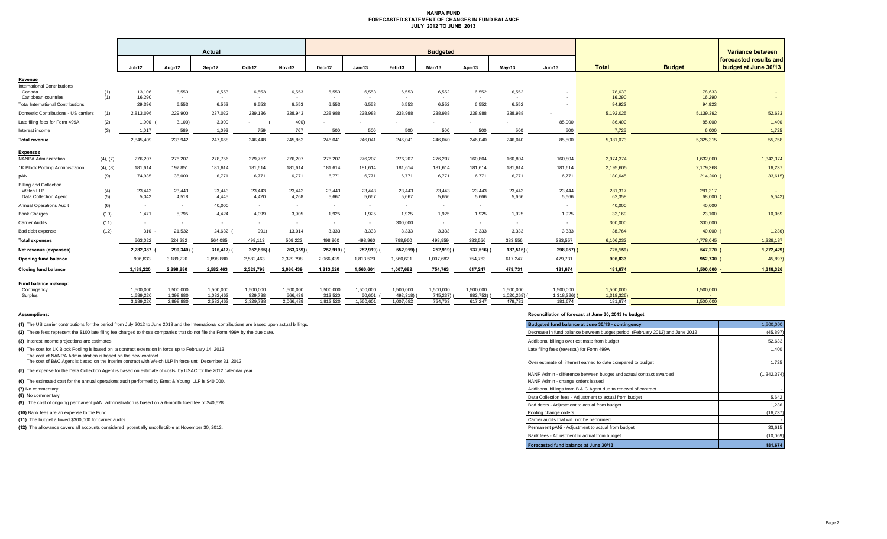#### **NANPA FUND FORECASTED STATEMENT OF CHANGES IN FUND BALANCE JULY 2012 TO JUNE 2013**

|                                               |            | Actual                 |                        |                        |                      |                          |                      |                     |                       | <b>Budgeted</b>          |                       |                          |                          | Variance between        |                   |                                                |
|-----------------------------------------------|------------|------------------------|------------------------|------------------------|----------------------|--------------------------|----------------------|---------------------|-----------------------|--------------------------|-----------------------|--------------------------|--------------------------|-------------------------|-------------------|------------------------------------------------|
|                                               |            | <b>Jul-12</b>          | <b>Aug-12</b>          | Sep-12                 | Oct-12               | <b>Nov-12</b>            | Dec-12               | $Jan-13$            | Feb-13                | <b>Mar-13</b>            | Apr-13                | $May-13$                 | Jun-13                   | <b>Total</b>            | <b>Budget</b>     | forecasted results and<br>budget at June 30/13 |
| Revenue<br><b>International Contributions</b> |            |                        |                        |                        |                      |                          |                      |                     |                       |                          |                       |                          |                          |                         |                   |                                                |
| Canada<br>Caribbean countries                 | (1)<br>(1) | 13,106<br>16,290       | 6,553<br>$\sim$        | 6,553<br>$\sim$        | 6,553<br>$\sim$      | 6,553<br>$\sim$          | 6,553<br>$\sim$      | 6,553<br>$\sim$     | 6,553<br>$\sim$       | 6,552<br>$\sim$          | 6,552<br>$\sim$       | 6,552<br>$\sim$          | $\sim$                   | 78,633<br>16,290        | 78,633<br>16,290  | $\sim$ $\sim$                                  |
| <b>Total International Contributions</b>      |            | 29,396                 | 6,553                  | 6,553                  | 6,553                | 6,553                    | 6,553                | 6,553               | 6,553                 | 6,552                    | 6,552                 | 6,552                    | $\overline{\phantom{a}}$ | 94,923                  | 94,923            |                                                |
| Domestic Contributions - US carriers          | (1)        | 2,813,096              | 229,900                | 237,022                | 239,136              | 238,943                  | 238,988              | 238,988             | 238,988               | 238,988                  | 238,988               | 238,988                  |                          | 5,192,025               | 5,139,392         | 52,633                                         |
| Late filing fees for Form 499A                | (2)        | 1,900                  | 3,100                  | 3,000                  |                      | 400)                     |                      |                     |                       |                          |                       |                          | 85,000                   | 86,400                  | 85,000            | 1,400                                          |
| Interest income                               | (3)        | 1,017                  | 589                    | 1,093                  | 759                  | 767                      | 500                  | 500                 | 500                   | 500                      | 500                   | 500                      | 500                      | 7,725                   | 6,000             | 1,725                                          |
| <b>Total revenue</b>                          |            | 2,845,409              | 233,942                | 247,668                | 246,448              | 245,863                  | 246,041              | 246,041             | 246,041               | 246,040                  | 246,040               | 246,040                  | 85,500                   | 5,381,073               | 5,325,315         | 55,758                                         |
| <b>Expenses</b>                               |            |                        |                        |                        |                      |                          |                      |                     |                       |                          |                       |                          |                          |                         |                   |                                                |
| <b>NANPA Administration</b>                   | (4), (7)   | 276,207                | 276,207                | 278,756                | 279,757              | 276,207                  | 276,207              | 276,207             | 276,207               | 276,207                  | 160,804               | 160,804                  | 160,804                  | 2,974,374               | 1,632,000         | 1,342,374                                      |
| 1K Block Pooling Administration               | (4), (8)   | 181,614                | 197,851                | 181,614                | 181,614              | 181,614                  | 181,614              | 181,614             | 181,614               | 181,614                  | 181,614               | 181,614                  | 181,614                  | 2,195,605               | 2,179,368         | 16,237                                         |
| pANI                                          | (9)        | 74,935                 | 38,000                 | 6,771                  | 6,771                | 6,771                    | 6,771                | 6,771               | 6,771                 | 6,771                    | 6,771                 | 6,771                    | 6,771                    | 180,645                 | 214,260           | 33,615                                         |
| <b>Billing and Collection</b>                 |            |                        |                        |                        |                      |                          |                      |                     |                       |                          |                       |                          |                          |                         |                   |                                                |
| Welch LLP<br>Data Collection Agent            | (4)<br>(5) | 23,443<br>5,042        | 23,443<br>4,518        | 23,443<br>4,445        | 23,443<br>4,420      | 23,443<br>4,268          | 23,443<br>5,667      | 23,443<br>5,667     | 23,443<br>5,667       | 23,443<br>5,666          | 23,443<br>5,666       | 23,443<br>5,666          | 23,444<br>5,666          | 281,317<br>62,358       | 281,317<br>68,000 | 5,642                                          |
| <b>Annual Operations Audit</b>                | (6)        | $\sim$                 | $\sim$                 | 40,000                 | $\sim$               | $\sim$                   | $\sim$               | $\sim$              | $\sim$                | $\sim$                   | $\sim$                |                          | $\sim$                   | 40,000                  | 40,000            |                                                |
| <b>Bank Charges</b>                           | (10)       | 1,471                  | 5,795                  | 4,424                  | 4.099                | 3,905                    | 1,925                | 1,925               | 1,925                 | 1,925                    | 1,925                 | 1,925                    | 1,925                    | 33,169                  | 23,100            | 10,069                                         |
| <b>Carrier Audits</b>                         | (11)       | $\sim$                 | $\sim$                 | $\sim$                 |                      | $\overline{\phantom{a}}$ |                      | $\sim$              | 300,000               | $\overline{\phantom{a}}$ | $\sim$                | $\overline{\phantom{a}}$ | $\overline{\phantom{a}}$ | 300,000                 | 300,000           |                                                |
| Bad debt expense                              | (12)       | 310                    | 21,532                 | 24,632                 | 991)                 | 13,014                   | 3,333                | 3,333               | 3,333                 | 3,333                    | 3,333                 | 3,333                    | 3,333                    | 38,764                  | 40,000            | 1,236                                          |
| <b>Total expenses</b>                         |            | 563,022                | 524,282                | 564,085                | 499,113              | 509,222                  | 498,960              | 498,960             | 798,960               | 498,959                  | 383,556               | 383,556                  | 383,557                  | 6,106,232               | 4,778,045         | 1,328,187                                      |
| Net revenue (expenses)                        |            | 2,282,387              | 290,340)               | 316,417)               | 252,665)             | 263,359)                 | 252,919)             | 252,919)            | 552,919)              | 252,919)                 | 137,516)              | 137,516) (               | 298,057)                 | 725,159)                | 547,270           | 1,272,429)                                     |
| Opening fund balance                          |            | 906,833                | 3,189,220              | 2,898,880              | 2,582,463            | 2,329,798                | 2,066,439            | 1,813,520           | 1,560,601             | 1,007,682                | 754,763               | 617,247                  | 479,731                  | 906,833                 | 952,730           | 45,897                                         |
| <b>Closing fund balance</b>                   |            | 3,189,220              | 2,898,880              | 2,582,463              | 2,329,798            | 2,066,439                | 1,813,520            | 1,560,601           | 1,007,682             | 754,763                  | 617,247               | 479,731                  | 181,674                  | 181,674                 | 1,500,000         | 1,318,326                                      |
| Fund balance makeup:                          |            |                        |                        |                        |                      |                          |                      |                     |                       |                          |                       |                          |                          |                         |                   |                                                |
| Contingency<br>Surplus                        |            | 1,500,000<br>1,689,220 | 1,500,000<br>1,398,880 | 1,500,000<br>1,082,463 | 1,500,000<br>829,798 | 1,500,000<br>566.439     | 1,500,000<br>313,520 | 1,500,000<br>60,601 | 1,500,000<br>492,318) | 1,500,000<br>745,237)    | 1.500.000<br>882,753) | 1,500,000<br>1,020,269)  | 1,500,000<br>1,318,326)  | 1,500,000<br>1,318,326) | 1,500,000         |                                                |
|                                               |            | 3,189,220              | 2,898,880              | 2,582,463              | 2,329,798            | 2,066,439                | 1,813,520            | 1,560,601           | 1,007,682             | 754,763                  | 617,247               | 479,731                  | 181,674                  | 181,674                 | 1.500.000         |                                                |

**(8)** No commentary

#### **Assumptions: Reconciliation of forecast at June 30, 2013 to budget**

| (1) The US carrier contributions for the period from July 2012 to June 2013 and the International contributions are based upon actual billings.                        | Budgeted fund balance at June 30/13 - contingency                            | 1,500,000   |
|------------------------------------------------------------------------------------------------------------------------------------------------------------------------|------------------------------------------------------------------------------|-------------|
| (2) These fees represent the \$100 late filing fee charged to those companies that do not file the Form 499A by the due date.                                          | Decrease in fund balance between budget period (February 2012) and June 2012 | (45, 897)   |
| (3) Interest income projections are estimates                                                                                                                          | Additional billings over estimate from budget                                | 52,633      |
| (4) The cost for 1K Block Pooling is based on a contract extension in force up to February 14, 2013.<br>The cost of NANPA Administration is based on the new contract. | Late filing fees (reversal) for Form 499A                                    | 1,400       |
| The cost of B&C Agent is based on the interim contract with Welch LLP in force until December 31, 2012.                                                                | Over estimate of interest earned to date compared to budget                  | 1,725       |
| (5) The expense for the Data Collection Agent is based on estimate of costs by USAC for the 2012 calendar year.                                                        | NANP Admin - difference between budget and actual contract awarded           | (1.342.374) |
| (6) The estimated cost for the annual operations audit performed by Ernst & Young LLP is \$40,000.                                                                     | NANP Admin - change orders issued                                            |             |
| (7) No commentary                                                                                                                                                      | Additional billings from B & C Agent due to renewal of contract              |             |
| (8) No commentary                                                                                                                                                      | Data Collection fees - Adiustment to actual from budget                      | 5,642       |
| (9) The cost of ongoing permanent pANI administration is based on a 6-month fixed fee of \$40,628                                                                      | Bad debts - Adjustment to actual from budget                                 | 1,236       |
| (10) Bank fees are an expense to the Fund.                                                                                                                             | Pooling change orders                                                        | (16, 237)   |
| (11) The budget allowed \$300,000 for carrier audits.                                                                                                                  | Carrier audits that will not be performed                                    |             |
| (12) The allowance covers all accounts considered potentially uncollectible at November 30, 2012.                                                                      | Permanent pANi - Adjustment to actual from budget                            | 33,615      |
|                                                                                                                                                                        | Bank fees - Adjustment to actual from budget                                 | (10,069)    |
|                                                                                                                                                                        | Forecasted fund balance at June 30/13                                        | 181,674     |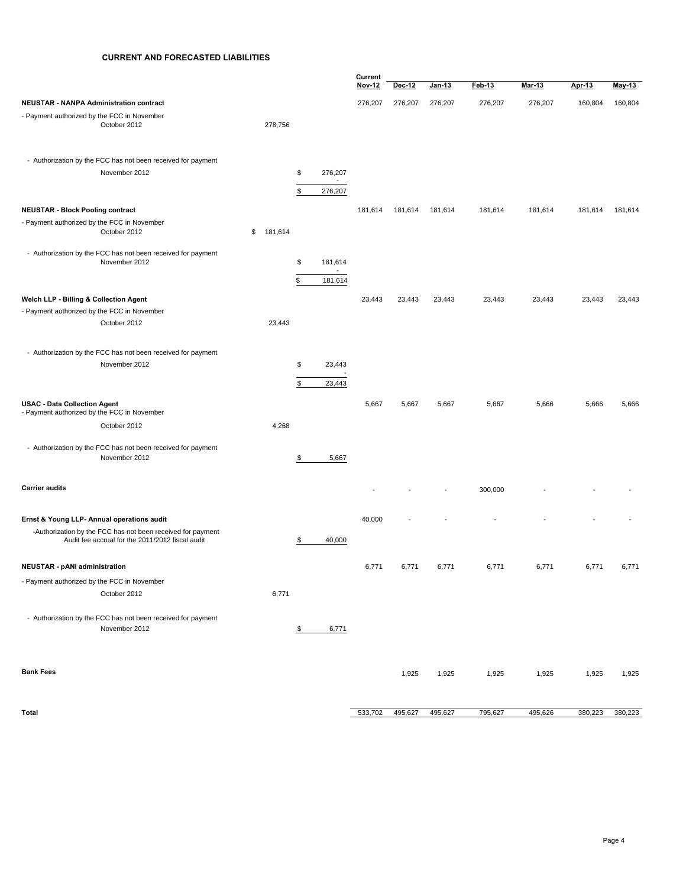#### **CURRENT AND FORECASTED LIABILITIES**

|                                                                                                                 |               |               |                                     | Current |         |               |         |         |         |         |
|-----------------------------------------------------------------------------------------------------------------|---------------|---------------|-------------------------------------|---------|---------|---------------|---------|---------|---------|---------|
|                                                                                                                 |               |               |                                     | Nov 12  | Dec-12  | <u>Jan-13</u> | Feb-13  | Mar-13  | Apr 13  | May-13  |
| <b>NEUSTAR - NANPA Administration contract</b>                                                                  |               |               |                                     | 276,207 | 276,207 | 276,207       | 276,207 | 276,207 | 160,804 | 160,804 |
| - Payment authorized by the FCC in November<br>October 2012                                                     | 278,756       |               |                                     |         |         |               |         |         |         |         |
| - Authorization by the FCC has not been received for payment                                                    |               |               |                                     |         |         |               |         |         |         |         |
| November 2012                                                                                                   |               | \$            | 276,207<br>$\sim$                   |         |         |               |         |         |         |         |
|                                                                                                                 |               | \$            | 276,207                             |         |         |               |         |         |         |         |
| <b>NEUSTAR - Block Pooling contract</b>                                                                         |               |               |                                     | 181,614 | 181,614 | 181,614       | 181,614 | 181,614 | 181,614 | 181,614 |
| - Payment authorized by the FCC in November<br>October 2012                                                     | \$<br>181,614 |               |                                     |         |         |               |         |         |         |         |
| - Authorization by the FCC has not been received for payment<br>November 2012                                   |               | \$            | 181,614                             |         |         |               |         |         |         |         |
|                                                                                                                 |               | \$            | $\overline{\phantom{a}}$<br>181,614 |         |         |               |         |         |         |         |
| Welch LLP - Billing & Collection Agent                                                                          |               |               |                                     | 23,443  | 23,443  | 23,443        | 23,443  | 23,443  | 23,443  | 23,443  |
| - Payment authorized by the FCC in November                                                                     |               |               |                                     |         |         |               |         |         |         |         |
| October 2012                                                                                                    | 23,443        |               |                                     |         |         |               |         |         |         |         |
| - Authorization by the FCC has not been received for payment                                                    |               |               |                                     |         |         |               |         |         |         |         |
| November 2012                                                                                                   |               | \$            | 23,443                              |         |         |               |         |         |         |         |
|                                                                                                                 |               | \$            | 23,443                              |         |         |               |         |         |         |         |
| <b>USAC - Data Collection Agent</b><br>- Payment authorized by the FCC in November                              |               |               |                                     | 5,667   | 5,667   | 5,667         | 5,667   | 5,666   | 5,666   | 5,666   |
| October 2012                                                                                                    | 4,268         |               |                                     |         |         |               |         |         |         |         |
| - Authorization by the FCC has not been received for payment                                                    |               |               |                                     |         |         |               |         |         |         |         |
| November 2012                                                                                                   |               | \$            | 5,667                               |         |         |               |         |         |         |         |
| <b>Carrier audits</b>                                                                                           |               |               |                                     |         |         |               | 300,000 |         |         |         |
| Ernst & Young LLP- Annual operations audit                                                                      |               |               |                                     | 40,000  |         |               |         |         |         |         |
| -Authorization by the FCC has not been received for payment<br>Audit fee accrual for the 2011/2012 fiscal audit |               | \$            | 40,000                              |         |         |               |         |         |         |         |
|                                                                                                                 |               |               |                                     | 6,771   |         | 6,771         | 6,771   | 6,771   | 6,771   | 6,771   |
| <b>NEUSTAR - pANI administration</b>                                                                            |               |               |                                     |         | 6,771   |               |         |         |         |         |
| - Payment authorized by the FCC in November<br>October 2012                                                     | 6,771         |               |                                     |         |         |               |         |         |         |         |
|                                                                                                                 |               |               |                                     |         |         |               |         |         |         |         |
| - Authorization by the FCC has not been received for payment<br>November 2012                                   |               | $\frac{1}{2}$ | 6,771                               |         |         |               |         |         |         |         |
|                                                                                                                 |               |               |                                     |         |         |               |         |         |         |         |
| <b>Bank Fees</b>                                                                                                |               |               |                                     |         | 1,925   | 1,925         | 1,925   | 1,925   | 1,925   | 1,925   |
| <b>Total</b>                                                                                                    |               |               |                                     | 533,702 | 495,627 | 495,627       | 795,627 | 495,626 | 380,223 | 380,223 |